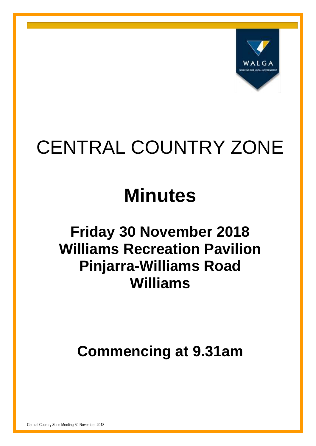

# CENTRAL COUNTRY ZONE

# **Minutes**

# **Friday 30 November 2018 Williams Recreation Pavilion Pinjarra-Williams Road Williams**

**Commencing at 9.31am**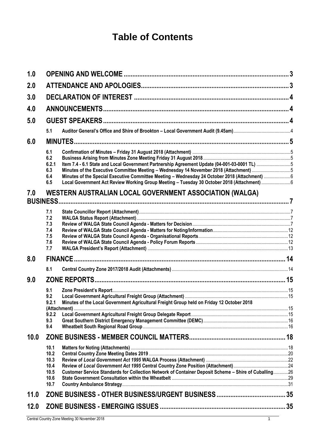## **Table of Contents**

| 1.0  |              |                                                                                                      | $\overline{3}$ |
|------|--------------|------------------------------------------------------------------------------------------------------|----------------|
| 2.0  |              |                                                                                                      |                |
| 3.0  |              |                                                                                                      |                |
| 4.0  |              |                                                                                                      |                |
| 5.0  |              |                                                                                                      |                |
|      | 5.1          |                                                                                                      |                |
| 6.0  |              |                                                                                                      |                |
|      |              |                                                                                                      |                |
|      | 6.1<br>6.2   |                                                                                                      |                |
|      | 6.2.1        | Item 7.4 - 6.1 State and Local Government Partnership Agreement Update (04-001-03-0001 TL) 5         |                |
|      | 6.3          | Minutes of the Executive Committee Meeting - Wednesday 14 November 2018 (Attachment) 5               |                |
|      | 6.4          | Minutes of the Special Executive Committee Meeting - Wednesday 24 October 2018 (Attachment) 6        |                |
|      | 6.5          | Local Government Act Review Working Group Meeting - Tuesday 30 October 2018 (Attachment) 6           |                |
| 7.0  |              | <b>WESTERN AUSTRALIAN LOCAL GOVERNMENT ASSOCIATION (WALGA)</b>                                       |                |
|      |              |                                                                                                      |                |
|      | 7.1          |                                                                                                      |                |
|      | 7.2          |                                                                                                      |                |
|      | 7.3          |                                                                                                      |                |
|      | 7.4          |                                                                                                      |                |
|      | 7.5          |                                                                                                      |                |
|      | 7.6<br>7.7   |                                                                                                      |                |
| 8.0  |              |                                                                                                      |                |
|      |              |                                                                                                      |                |
|      | 8.1          |                                                                                                      |                |
| 9.0  |              |                                                                                                      |                |
|      | 9.1          |                                                                                                      |                |
|      | 9.2          |                                                                                                      |                |
|      | 9.2.1        | Minutes of the Local Government Agricultural Freight Group held on Friday 12 October 2018            |                |
|      | 9.2.2        |                                                                                                      |                |
|      | 9.3          |                                                                                                      |                |
|      | 9.4          |                                                                                                      |                |
| 10.0 |              |                                                                                                      |                |
|      | 10.1         |                                                                                                      |                |
|      | 10.2         |                                                                                                      |                |
|      | 10.3         |                                                                                                      |                |
|      | 10.4         |                                                                                                      |                |
|      | 10.5         | Customer Service Standards for Collection Network of Container Deposit Scheme - Shire of Cuballing26 |                |
|      | 10.6<br>10.7 |                                                                                                      |                |
|      |              |                                                                                                      |                |
| 11.0 |              |                                                                                                      |                |
| 12.0 |              |                                                                                                      |                |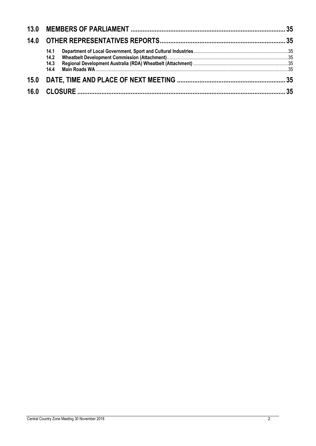| 14.1<br>14.2<br>14.3<br>14.4 |  |
|------------------------------|--|
|                              |  |
|                              |  |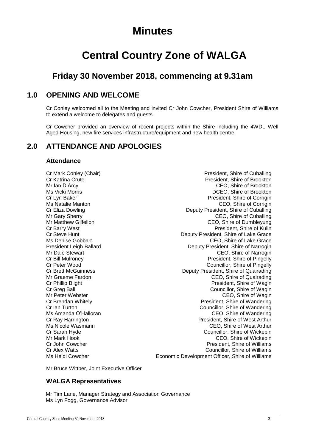## **Minutes**

## **Central Country Zone of WALGA**

### **Friday 30 November 2018, commencing at 9.31am**

### <span id="page-3-0"></span>**1.0 OPENING AND WELCOME**

Cr Conley welcomed all to the Meeting and invited Cr John Cowcher, President Shire of Williams to extend a welcome to delegates and guests.

Cr Cowcher provided an overview of recent projects within the Shire including the 4WDL Well Aged Housing, new fire services infrastructure/equipment and new health centre.

### <span id="page-3-1"></span>**2.0 ATTENDANCE AND APOLOGIES**

### **Attendance**

Cr Mark Conley (Chair) **President**, Shire of Cuballing President, Shire of Cuballing Cr Katrina Crute President, Shire of Brookton Mr Ian D'Arcy CEO, Shire of Brookton Ms Vicki Morris DCEO, Shire of Brookton Cr Lyn Baker President, Shire of Corrigin Ms Natalie Manton CEO, Shire of Corrigin Cr Eliza Dowling Deputy President, Shire of Cuballing Mr Gary Sherry **CEO**, Shire of Cuballing Mr Matthew Gilfellon CEO, Shire of Dumbleyung Cr Barry West<br>Cr Steve Hunt President, Shire of Kulin<br>Deputy President, Shire of Lake Grace Deputy President, Shire of Lake Grace Ms Denise Gobbart **CEO**, Shire of Lake Grace President Leigh Ballard **Deputy President, Shire of Narrogin** Mr Dale Stewart CEO, Shire of Narrogin Ceo CEO, Shire of Narrogin Cr Bill Mulroney President, Shire of Pingelly Cr Peter Wood<br>
Cr Peter Wood **Cr Pingelly Cr Peter Wood Councillor, Shire of Pingelly**<br>
Cr Brett McGuinness **Cr Pingelly Cr Pingelly Cr Pingelly** Deputy President, Shire of Quairading Mr Graeme Fardon **CEO**, Shire of Quairading<br>
Cr Phillip Blight Cr Phillip Blight Cr Phillip Blight Cr Phillip Blight Cr Phillip Blight Cr Phillip Blight<br>Cr Greg Ball Cr Greg Ball Cr Cr Cr Phillip President, Shire of Wagin Cr Greg Ball Councillor, Shire of Wagin<br>Mr Peter Webster Councillor, Shire of Wagin CEO, Shire of Wagin Cr Brendan Whitely President, Shire of Wandering Cr Ian Turton Councillor, Shire of Wandering Ms Amanda O'Halloran CEO, Shire of Wandering Cr Ray Harrington President, Shire of West Arthur Ms Nicole Wasmann CEO, Shire of West Arthur Cr Sarah Hyde Councillor, Shire of Wickepin Mr Mark Hook CEO, Shire of Wickepin Cr John Cowcher **President**, Shire of Williams Cr Alex Watts Councillor, Shire of Williams Ms Heidi Cowcher **Example 20** Economic Development Officer, Shire of Williams

Mr Bruce Wittber, Joint Executive Officer

### **WALGA Representatives**

Mr Tim Lane, Manager Strategy and Association Governance Ms Lyn Fogg, Governance Advisor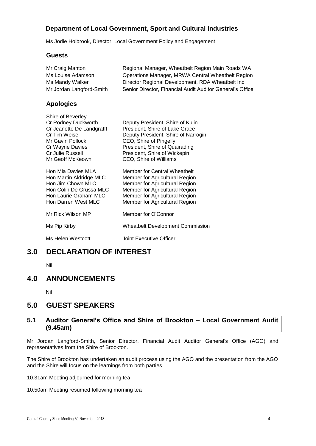### **Department of Local Government, Sport and Cultural Industries**

Ms Jodie Holbrook, Director, Local Government Policy and Engagement

### **Guests**

| Mr Craig Manton<br>Ms Louise Adamson<br>Ms Mandy Walker<br>Mr Jordan Langford-Smith                                                                                  | Regional Manager, Wheatbelt Region Main Roads WA<br>Operations Manager, MRWA Central Wheatbelt Region<br>Director Regional Development, RDA Wheatbelt Inc<br>Senior Director, Financial Audit Auditor General's Office          |
|----------------------------------------------------------------------------------------------------------------------------------------------------------------------|---------------------------------------------------------------------------------------------------------------------------------------------------------------------------------------------------------------------------------|
| <b>Apologies</b>                                                                                                                                                     |                                                                                                                                                                                                                                 |
| Shire of Beverley<br>Cr Rodney Duckworth<br>Cr Jeanette De Landgrafft<br>Cr Tim Weise<br>Mr Gavin Pollock<br>Cr Wayne Davies<br>Cr Julie Russell<br>Mr Geoff McKeown | Deputy President, Shire of Kulin<br>President, Shire of Lake Grace<br>Deputy President, Shire of Narrogin<br>CEO, Shire of Pingelly<br>President, Shire of Quairading<br>President, Shire of Wickepin<br>CEO, Shire of Williams |
| Hon Mia Davies MLA<br>Hon Martin Aldridge MLC<br>Hon Jim Chown MLC<br>Hon Colin De Grussa MLC<br>Hon Laurie Graham MLC<br>Hon Darren West MLC                        | Member for Central Wheatbelt<br>Member for Agricultural Region<br>Member for Agricultural Region<br>Member for Agricultural Region<br>Member for Agricultural Region<br>Member for Agricultural Region                          |
| Mr Rick Wilson MP                                                                                                                                                    | Member for O'Connor                                                                                                                                                                                                             |
| Ms Pip Kirby                                                                                                                                                         | <b>Wheatbelt Development Commission</b>                                                                                                                                                                                         |
| Ms Helen Westcott                                                                                                                                                    | Joint Executive Officer                                                                                                                                                                                                         |
|                                                                                                                                                                      |                                                                                                                                                                                                                                 |

### <span id="page-4-0"></span>**3.0 DECLARATION OF INTEREST**

Nil

### <span id="page-4-1"></span>**4.0 ANNOUNCEMENTS**

Nil

### <span id="page-4-2"></span>**5.0 GUEST SPEAKERS**

### <span id="page-4-3"></span>**5.1 Auditor General's Office and Shire of Brookton – Local Government Audit (9.45am)**

Mr Jordan Langford-Smith, Senior Director, Financial Audit Auditor General's Office (AGO) and representatives from the Shire of Brookton.

The Shire of Brookton has undertaken an audit process using the AGO and the presentation from the AGO and the Shire will focus on the learnings from both parties.

10.31am Meeting adjourned for morning tea

10.50am Meeting resumed following morning tea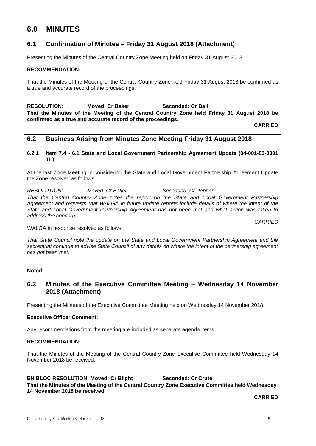### <span id="page-5-0"></span>**6.0 MINUTES**

### <span id="page-5-1"></span>**6.1 Confirmation of Minutes – Friday 31 August 2018 (Attachment)**

Presenting the Minutes of the Central Country Zone Meeting held on Friday 31 August 2018.

### **RECOMMENDATION:**

That the Minutes of the Meeting of the Central Country Zone held Friday 31 August 2018 be confirmed as a true and accurate record of the proceedings.

**RESOLUTION: Moved: Cr Baker Seconded: Cr Ball That the Minutes of the Meeting of the Central Country Zone held Friday 31 August 2018 be confirmed as a true and accurate record of the proceedings.**

**CARRIED**

### <span id="page-5-2"></span>**6.2 Business Arising from Minutes Zone Meeting Friday 31 August 2018**

### <span id="page-5-3"></span>**6.2.1 Item 7.4 - 6.1 State and Local Government Partnership Agreement Update (04-001-03-0001 TL)**

At the last Zone Meeting in considering the State and Local Government Partnership Agreement Update the Zone resolved as follows:

### *RESOLUTION: Moved: Cr Baker Seconded: Cr Pepper*

*That the Central Country Zone notes the report on the State and Local Government Partnership*  Agreement and requests that WALGA in future update reports include details of where the intent of the *State and Local Government Partnership Agreement has not been met and what action was taken to address the concern.*

*CARRIED*

WALGA in response resolved as follows:

*That State Council note the update on the State and Local Government Partnership Agreement and the secretariat continue to advise State Council of any details on where the intent of the partnership agreement has not been met.*

### **Noted**

### <span id="page-5-4"></span>**6.3 Minutes of the Executive Committee Meeting – Wednesday 14 November 2018 (Attachment)**

Presenting the Minutes of the Executive Committee Meeting held on Wednesday 14 November 2018

### **Executive Officer Comment:**

Any recommendations from the meeting are included as separate agenda items.

### **RECOMMENDATION:**

That the Minutes of the Meeting of the Central Country Zone Executive Committee held Wednesday 14 November 2018 be received.

### **EN BLOC RESOLUTION: Moved: Cr Blight Seconded: Cr Crute**

**That the Minutes of the Meeting of the Central Country Zone Executive Committee held Wednesday 14 November 2018 be received.**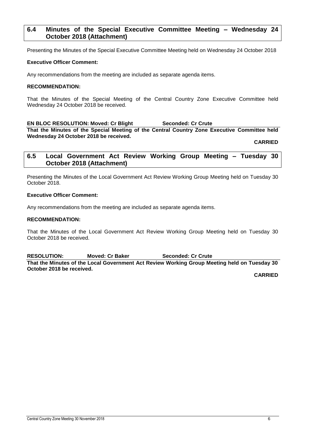### <span id="page-6-0"></span>**6.4 Minutes of the Special Executive Committee Meeting – Wednesday 24 October 2018 (Attachment)**

Presenting the Minutes of the Special Executive Committee Meeting held on Wednesday 24 October 2018

### **Executive Officer Comment:**

Any recommendations from the meeting are included as separate agenda items.

### **RECOMMENDATION:**

That the Minutes of the Special Meeting of the Central Country Zone Executive Committee held Wednesday 24 October 2018 be received.

**EN BLOC RESOLUTION: Moved: Cr Blight Seconded: Cr Crute That the Minutes of the Special Meeting of the Central Country Zone Executive Committee held Wednesday 24 October 2018 be received.**

**CARRIED**

### <span id="page-6-1"></span>**6.5 Local Government Act Review Working Group Meeting – Tuesday 30 October 2018 (Attachment)**

Presenting the Minutes of the Local Government Act Review Working Group Meeting held on Tuesday 30 October 2018.

### **Executive Officer Comment:**

Any recommendations from the meeting are included as separate agenda items.

### **RECOMMENDATION:**

That the Minutes of the Local Government Act Review Working Group Meeting held on Tuesday 30 October 2018 be received.

**RESOLUTION: Moved: Cr Baker Seconded: Cr Crute That the Minutes of the Local Government Act Review Working Group Meeting held on Tuesday 30 October 2018 be received.**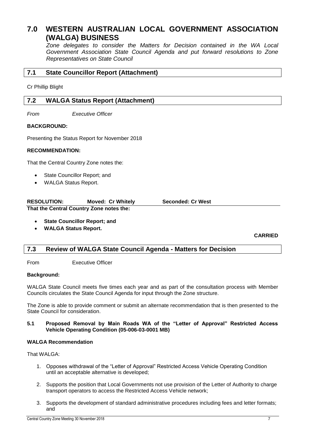### <span id="page-7-0"></span>**7.0 WESTERN AUSTRALIAN LOCAL GOVERNMENT ASSOCIATION (WALGA) BUSINESS**

*Zone delegates to consider the Matters for Decision contained in the WA Local Government Association State Council Agenda and put forward resolutions to Zone Representatives on State Council*

<span id="page-7-1"></span>Cr Phillip Blight

### <span id="page-7-2"></span>**7.2 WALGA Status Report (Attachment)**

*From Executive Officer*

### **BACKGROUND:**

Presenting the Status Report for November 2018

### **RECOMMENDATION:**

That the Central Country Zone notes the:

- State Councillor Report; and
- WALGA Status Report.

| <b>RESOLUTION:</b> | <b>Moved: Cr Whitely</b>                 | <b>Seconded: Cr West</b> |
|--------------------|------------------------------------------|--------------------------|
|                    | That the Central Country Zone notes the: |                          |

**State Councillor Report; and**

**WALGA Status Report.**

**CARRIED**

### <span id="page-7-3"></span>**7.3 Review of WALGA State Council Agenda - Matters for Decision**

From Executive Officer

### **Background:**

WALGA State Council meets five times each year and as part of the consultation process with Member Councils circulates the State Council Agenda for input through the Zone structure.

The Zone is able to provide comment or submit an alternate recommendation that is then presented to the State Council for consideration.

### **5.1 Proposed Removal by Main Roads WA of the "Letter of Approval" Restricted Access Vehicle Operating Condition (05-006-03-0001 MB)**

### **WALGA Recommendation**

That WALGA:

- 1. Opposes withdrawal of the "Letter of Approval" Restricted Access Vehicle Operating Condition until an acceptable alternative is developed;
- 2. Supports the position that Local Governments not use provision of the Letter of Authority to charge transport operators to access the Restricted Access Vehicle network;
- 3. Supports the development of standard administrative procedures including fees and letter formats; and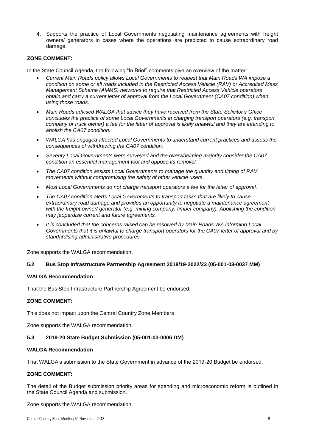4. Supports the practice of Local Governments negotiating maintenance agreements with freight owners/ generators in cases where the operations are predicted to cause extraordinary road damage.

### **ZONE COMMENT:**

In the State Council Agenda, the following "In Brief" comments give an overview of the matter:

- *Current Main Roads policy allows Local Governments to request that Main Roads WA impose a condition on some or all roads included in the Restricted Access Vehicle (RAV) or Accredited Mass Management Scheme (AMMS) networks to require that Restricted Access Vehicle operators obtain and carry a current letter of approval from the Local Government (CA07 condition) when using those roads.*
- *Main Roads advised WALGA that advice they have received from the State Solicitor's Office concludes the practice of some Local Governments in charging transport operators (e.g. transport company or truck owner) a fee for the letter of approval is likely unlawful and they are intending to abolish the CA07 condition.*
- *WALGA has engaged affected Local Governments to understand current practices and assess the consequences of withdrawing the CA07 condition.*
- *Seventy Local Governments were surveyed and the overwhelming majority consider the CA07 condition an essential management tool and oppose its removal.*
- *The CA07 condition assists Local Governments to manage the quantity and timing of RAV movements without compromising the safety of other vehicle users.*
- *Most Local Governments do not charge transport operators a fee for the letter of approval.*
- *The CA07 condition alerts Local Governments to transport tasks that are likely to cause extraordinary road damage and provides an opportunity to negotiate a maintenance agreement with the freight owner/ generator (e.g. mining company, timber company). Abolishing the condition may jeopardise current and future agreements.*
- *It is concluded that the concerns raised can be resolved by Main Roads WA informing Local Governments that it is unlawful to charge transport operators for the CA07 letter of approval and by standardising administrative procedures.*

Zone supports the WALGA recommendation.

### **5.2 Bus Stop Infrastructure Partnership Agreement 2018/19-2022/23 (05-001-03-0037 MM)**

### **WALGA Recommendation**

That the Bus Stop Infrastructure Partnership Agreement be endorsed.

### **ZONE COMMENT:**

This does not impact upon the Central Country Zone Members

Zone supports the WALGA recommendation.

### **5.3 2019-20 State Budget Submission (05-001-03-0006 DM)**

### **WALGA Recommendation**

That WALGA's submission to the State Government in advance of the 2019-20 Budget be endorsed.

### **ZONE COMMENT:**

The detail of the Budget submission priority areas for spending and microeconomic reform is outlined in the State Council Agenda and submission.

Zone supports the WALGA recommendation.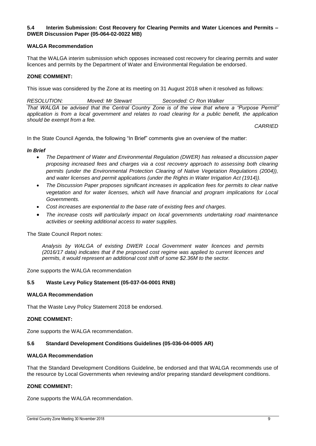### **5.4 Interim Submission: Cost Recovery for Clearing Permits and Water Licences and Permits – DWER Discussion Paper (05-064-02-0022 MB)**

### **WALGA Recommendation**

That the WALGA interim submission which opposes increased cost recovery for clearing permits and water licences and permits by the Department of Water and Environmental Regulation be endorsed.

### **ZONE COMMENT:**

This issue was considered by the Zone at its meeting on 31 August 2018 when it resolved as follows:

*RESOLUTION: Moved: Mr Stewart Seconded: Cr Ron Walker That WALGA be advised that the Central Country Zone is of the view that where a "Purpose Permit" application is from a local government and relates to road clearing for a public benefit, the application should be exempt from a fee.*

*CARRIED*

In the State Council Agenda, the following "In Brief" comments give an overview of the matter:

### *In Brief*

- *The Department of Water and Environmental Regulation (DWER) has released a discussion paper proposing increased fees and charges via a cost recovery approach to assessing both clearing permits (under the Environmental Protection Clearing of Native Vegetation Regulations (2004)), and water licenses and permit applications (under the Rights in Water Irrigation Act (1914)).*
- *The Discussion Paper proposes significant increases in application fees for permits to clear native vegetation and for water licenses, which will have financial and program implications for Local Governments.*
- *Cost increases are exponential to the base rate of existing fees and charges.*
- *The increase costs will particularly impact on local governments undertaking road maintenance activities or seeking additional access to water supplies.*

The State Council Report notes:

*Analysis by WALGA of existing DWER Local Government water licences and permits (2016/17 data) indicates that if the proposed cost regime was applied to current licences and permits, it would represent an additional cost shift of some \$2.36M to the sector.*

Zone supports the WALGA recommendation

### **5.5 Waste Levy Policy Statement (05-037-04-0001 RNB)**

### **WALGA Recommendation**

That the Waste Levy Policy Statement 2018 be endorsed.

### **ZONE COMMENT:**

Zone supports the WALGA recommendation.

### **5.6 Standard Development Conditions Guidelines (05-036-04-0005 AR)**

### **WALGA Recommendation**

That the Standard Development Conditions Guideline, be endorsed and that WALGA recommends use of the resource by Local Governments when reviewing and/or preparing standard development conditions.

### **ZONE COMMENT:**

Zone supports the WALGA recommendation.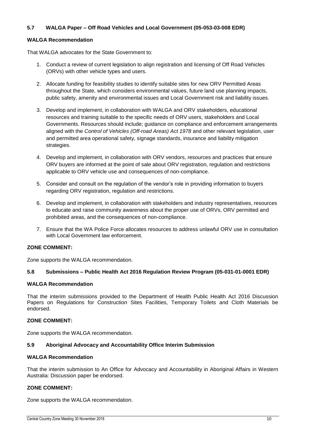### **5.7 WALGA Paper – Off Road Vehicles and Local Government (05-053-03-008 EDR)**

### **WALGA Recommendation**

That WALGA advocates for the State Government to:

- 1. Conduct a review of current legislation to align registration and licensing of Off Road Vehicles (ORVs) with other vehicle types and users.
- 2. Allocate funding for feasibility studies to identify suitable sites for new ORV Permitted Areas throughout the State, which considers environmental values, future land use planning impacts, public safety, amenity and environmental issues and Local Government risk and liability issues.
- 3. Develop and implement, in collaboration with WALGA and ORV stakeholders, educational resources and training suitable to the specific needs of ORV users, stakeholders and Local Governments. Resources should include; guidance on compliance and enforcement arrangements aligned with the *Control of Vehicles (Off-road Areas) Act 1978* and other relevant legislation, user and permitted area operational safety, signage standards, insurance and liability mitigation strategies.
- 4. Develop and implement, in collaboration with ORV vendors, resources and practices that ensure ORV buyers are informed at the point of sale about ORV registration, regulation and restrictions applicable to ORV vehicle use and consequences of non-compliance.
- 5. Consider and consult on the regulation of the vendor's role in providing information to buyers regarding ORV registration, regulation and restrictions.
- 6. Develop and implement, in collaboration with stakeholders and industry representatives, resources to educate and raise community awareness about the proper use of ORVs, ORV permitted and prohibited areas, and the consequences of non-compliance.
- 7. Ensure that the WA Police Force allocates resources to address unlawful ORV use in consultation with Local Government law enforcement.

### **ZONE COMMENT:**

Zone supports the WALGA recommendation.

### **5.8 Submissions – Public Health Act 2016 Regulation Review Program (05-031-01-0001 EDR)**

### **WALGA Recommendation**

That the interim submissions provided to the Department of Health Public Health Act 2016 Discussion Papers on Regulations for Construction Sites Facilities, Temporary Toilets and Cloth Materials be endorsed.

### **ZONE COMMENT:**

Zone supports the WALGA recommendation.

### **5.9 Aboriginal Advocacy and Accountability Office Interim Submission**

### **WALGA Recommendation**

That the interim submission to An Office for Advocacy and Accountability in Aboriginal Affairs in Western Australia: Discussion paper be endorsed.

### **ZONE COMMENT:**

Zone supports the WALGA recommendation.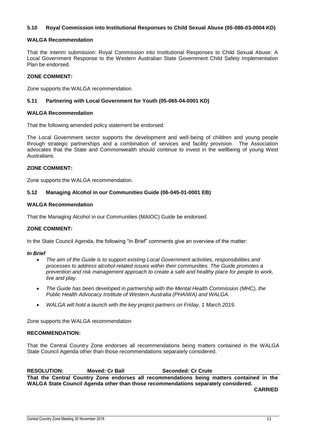### **5.10 Royal Commission into Institutional Responses to Child Sexual Abuse (05-086-03-0004 KD)**

### **WALGA Recommendation**

That the interim submission: Royal Commission into Institutional Responses to Child Sexual Abuse: A Local Government Response to the Western Australian State Government Child Safety Implementation Plan be endorsed.

### **ZONE COMMENT:**

Zone supports the WALGA recommendation.

### **5.11 Partnering with Local Government for Youth (05-065-04-0001 KD)**

### **WALGA Recommendation**

That the following amended policy statement be endorsed:

The Local Government sector supports the development and well-being of children and young people through strategic partnerships and a combination of services and facility provision. The Association advocates that the State and Commonwealth should continue to invest in the wellbeing of young West **Australians.** 

### **ZONE COMMENT:**

Zone supports the WALGA recommendation.

### **5.12 Managing Alcohol in our Communities Guide (06-045-01-0001 EB)**

### **WALGA Recommendation**

That the Managing Alcohol in our Communities (MAIOC) Guide be endorsed.

### **ZONE COMMENT:**

In the State Council Agenda, the following "In Brief" comments give an overview of the matter:

### *In Brief*

- *The aim of the Guide is to support existing Local Government activities, responsibilities and processes to address alcohol-related issues within their communities. The Guide promotes a prevention and risk management approach to create a safe and healthy place for people to work, live and play.*
- *The Guide has been developed in partnership with the Mental Health Commission (MHC), the Public Health Advocacy Institute of Western Australia (PHAIWA) and WALGA.*
- *WALGA will hold a launch with the key project partners on Friday, 1 March 2019.*

Zone supports the WALGA recommendation

### **RECOMMENDATION:**

That the Central Country Zone endorses all recommendations being matters contained in the WALGA State Council Agenda other than those recommendations separately considered.

### **RESOLUTION: Moved: Cr Ball Seconded: Cr Crute**

**That the Central Country Zone endorses all recommendations being matters contained in the WALGA State Council Agenda other than those recommendations separately considered.**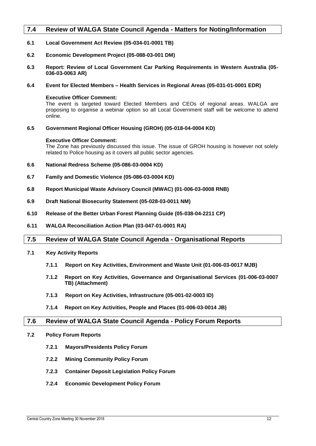### <span id="page-12-0"></span>**7.4 Review of WALGA State Council Agenda - Matters for Noting/Information**

- **6.1 Local Government Act Review (05-034-01-0001 TB)**
- **6.2 Economic Development Project (05-088-03-001 DM)**
- **6.3 Report: Review of Local Government Car Parking Requirements in Western Australia (05- 036-03-0063 AR)**
- **6.4 Event for Elected Members – Health Services in Regional Areas (05-031-01-0001 EDR)**

### **Executive Officer Comment:**

The event is targeted toward Elected Members and CEOs of regional areas. WALGA are proposing to organise a webinar option so all Local Government staff will be welcome to attend online.

**6.5 Government Regional Officer Housing (GROH) (05-018-04-0004 KD)**

### **Executive Officer Comment:**

The Zone has previously discussed this issue. The issue of GROH housing is however not solely related to Police housing as it covers all public sector agencies.

- **6.6 National Redress Scheme (05-086-03-0004 KD)**
- **6.7 Family and Domestic Violence (05-086-03-0004 KD)**
- **6.8 Report Municipal Waste Advisory Council (MWAC) (01-006-03-0008 RNB)**
- **6.9 Draft National Biosecurity Statement (05-028-03-0011 NM)**
- **6.10 Release of the Better Urban Forest Planning Guide (05-038-04-2211 CP)**
- **6.11 WALGA Reconciliation Action Plan (03-047-01-0001 RA)**

### <span id="page-12-1"></span>**7.5 Review of WALGA State Council Agenda - Organisational Reports**

- **7.1 Key Activity Reports**
	- **7.1.1 Report on Key Activities, Environment and Waste Unit (01-006-03-0017 MJB)**
	- **7.1.2 Report on Key Activities, Governance and Organisational Services (01-006-03-0007 TB) (Attachment)**
	- **7.1.3 Report on Key Activities, Infrastructure (05-001-02-0003 ID)**
	- **7.1.4 Report on Key Activities, People and Places (01-006-03-0014 JB)**

### <span id="page-12-2"></span>**7.6 Review of WALGA State Council Agenda - Policy Forum Reports**

- **7.2 Policy Forum Reports**
	- **7.2.1 Mayors/Presidents Policy Forum**
	- **7.2.2 Mining Community Policy Forum**
	- **7.2.3 Container Deposit Legislation Policy Forum**
	- **7.2.4 Economic Development Policy Forum**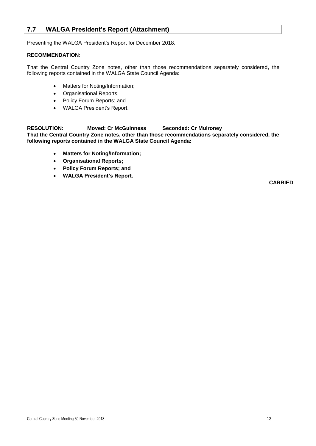### <span id="page-13-0"></span>**7.7 WALGA President's Report (Attachment)**

Presenting the WALGA President's Report for December 2018.

### **RECOMMENDATION:**

That the Central Country Zone notes, other than those recommendations separately considered, the following reports contained in the WALGA State Council Agenda:

- Matters for Noting/Information;
- Organisational Reports;
- Policy Forum Reports; and
- WALGA President's Report.

### **RESOLUTION: Moved: Cr McGuinness Seconded: Cr Mulroney**

**That the Central Country Zone notes, other than those recommendations separately considered, the following reports contained in the WALGA State Council Agenda:**

- **Matters for Noting/Information;**
- **Organisational Reports;**
- **Policy Forum Reports; and**
- **WALGA President's Report.**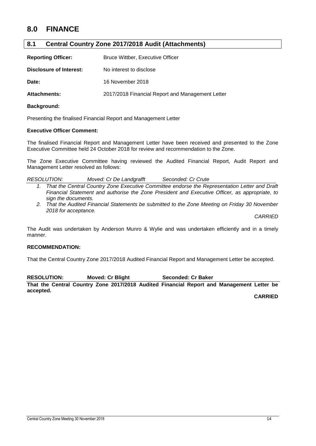### <span id="page-14-0"></span>**8.0 FINANCE**

### <span id="page-14-1"></span>**8.1 Central Country Zone 2017/2018 Audit (Attachments)**

| <b>Reporting Officer:</b> | Bruce Wittber, Executive Officer                 |
|---------------------------|--------------------------------------------------|
| Disclosure of Interest:   | No interest to disclose                          |
| Date:                     | 16 November 2018                                 |
| <b>Attachments:</b>       | 2017/2018 Financial Report and Management Letter |

### **Background:**

Presenting the finalised Financial Report and Management Letter

### **Executive Officer Comment:**

The finalised Financial Report and Management Letter have been received and presented to the Zone Executive Committee held 24 October 2018 for review and recommendation to the Zone.

The Zone Executive Committee having reviewed the Audited Financial Report, Audit Report and Management Letter resolved as follows:

| <b>RESOLUTION:</b><br>Seconded: Cr Crute<br>Moved: Cr De Landgrafft |  |
|---------------------------------------------------------------------|--|
|---------------------------------------------------------------------|--|

- *1. That the Central Country Zone Executive Committee endorse the Representation Letter and Draft Financial Statement and authorise the Zone President and Executive Officer, as appropriate, to sign the documents.*
- *2. That the Audited Financial Statements be submitted to the Zone Meeting on Friday 30 November 2018 for acceptance.*

*CARRIED*

The Audit was undertaken by Anderson Munro & Wylie and was undertaken efficiently and in a timely manner.

### **RECOMMENDATION:**

That the Central Country Zone 2017/2018 Audited Financial Report and Management Letter be accepted.

**RESOLUTION: Moved: Cr Blight Seconded: Cr Baker That the Central Country Zone 2017/2018 Audited Financial Report and Management Letter be accepted.**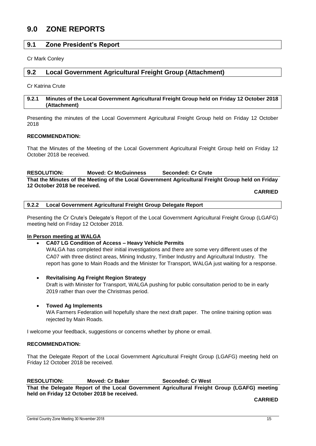### <span id="page-15-0"></span>**9.0 ZONE REPORTS**

### <span id="page-15-1"></span>**9.1 Zone President's Report**

Cr Mark Conley

### <span id="page-15-2"></span>**9.2 Local Government Agricultural Freight Group (Attachment)**

Cr Katrina Crute

### <span id="page-15-3"></span>**9.2.1 Minutes of the Local Government Agricultural Freight Group held on Friday 12 October 2018 (Attachment)**

Presenting the minutes of the Local Government Agricultural Freight Group held on Friday 12 October 2018

### **RECOMMENDATION:**

That the Minutes of the Meeting of the Local Government Agricultural Freight Group held on Friday 12 October 2018 be received.

### **RESOLUTION: Moved: Cr McGuinness Seconded: Cr Crute That the Minutes of the Meeting of the Local Government Agricultural Freight Group held on Friday 12 October 2018 be received.**

**CARRIED**

<span id="page-15-4"></span>**9.2.2 Local Government Agricultural Freight Group Delegate Report**

Presenting the Cr Crute's Delegate's Report of the Local Government Agricultural Freight Group (LGAFG) meeting held on Friday 12 October 2018.

### **In Person meeting at WALGA**

### **CA07 LG Condition of Access – Heavy Vehicle Permits**

WALGA has completed their initial investigations and there are some very different uses of the CA07 with three distinct areas, Mining Industry, Timber Industry and Agricultural Industry. The report has gone to Main Roads and the Minister for Transport, WALGA just waiting for a response.

- **Revitalising Ag Freight Region Strategy** Draft is with Minister for Transport, WALGA pushing for public consultation period to be in early 2019 rather than over the Christmas period.
- **Towed Ag Implements**

WA Farmers Federation will hopefully share the next draft paper. The online training option was rejected by Main Roads.

I welcome your feedback, suggestions or concerns whether by phone or email.

### **RECOMMENDATION:**

That the Delegate Report of the Local Government Agricultural Freight Group (LGAFG) meeting held on Friday 12 October 2018 be received.

### **RESOLUTION: Moved: Cr Baker Seconded: Cr West**

**That the Delegate Report of the Local Government Agricultural Freight Group (LGAFG) meeting held on Friday 12 October 2018 be received.**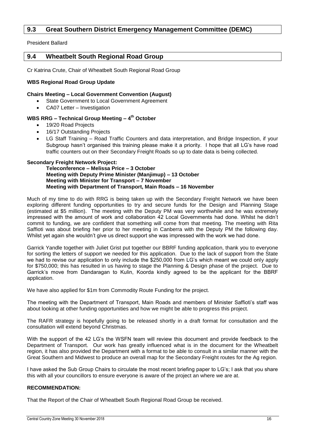### <span id="page-16-0"></span>**9.3 Great Southern District Emergency Management Committee (DEMC)**

President Ballard

### <span id="page-16-1"></span>**9.4 Wheatbelt South Regional Road Group**

Cr Katrina Crute, Chair of Wheatbelt South Regional Road Group

### **WBS Regional Road Group Update**

### **Chairs Meeting – Local Government Convention (August)**

- State Government to Local Government Agreement
- CA07 Letter Investigation

### **WBS RRG – Technical Group Meeting – 4 th October**

- 19/20 Road Projects
- 16/17 Outstanding Projects
- LG Staff Training Road Traffic Counters and data interpretation, and Bridge Inspection, if your Subgroup hasn't organised this training please make it a priority. I hope that all LG's have road traffic counters out on their Secondary Freight Roads so up to date data is being collected.

### **Secondary Freight Network Project:**

**Teleconference – Melissa Price – 3 October Meeting with Deputy Prime Minister (Manjimup) – 13 October Meeting with Minister for Transport – 7 November Meeting with Department of Transport, Main Roads – 16 November**

Much of my time to do with RRG is being taken up with the Secondary Freight Network we have been exploring different funding opportunities to try and secure funds for the Design and Planning Stage (estimated at \$5 million). The meeting with the Deputy PM was very worthwhile and he was extremely impressed with the amount of work and collaboration 42 Local Governments had done. Whilst he didn't commit to funding, we are confident that something will come from that meeting. The meeting with Rita Saffioti was about briefing her prior to her meeting in Canberra with the Deputy PM the following day. Whilst yet again she wouldn't give us direct support she was impressed with the work we had done.

Garrick Yandle together with Juliet Grist put together our BBRF funding application, thank you to everyone for sorting the letters of support we needed for this application. Due to the lack of support from the State we had to revise our application to only include the \$250,000 from LG's which meant we could only apply for \$750,000; this has resulted in us having to stage the Planning & Design phase of the project. Due to Garrick's move from Dandaragan to Kulin, Koorda kindly agreed to be the applicant for the BBRF application.

We have also applied for \$1m from Commodity Route Funding for the project.

The meeting with the Department of Transport, Main Roads and members of Minister Saffioti's staff was about looking at other funding opportunities and how we might be able to progress this project.

The RAFR strategy is hopefully going to be released shortly in a draft format for consultation and the consultation will extend beyond Christmas.

With the support of the 42 LG's the WSFN team will review this document and provide feedback to the Department of Transport. Our work has greatly influenced what is in the document for the Wheatbelt region, it has also provided the Department with a format to be able to consult in a similar manner with the Great Southern and Midwest to produce an overall map for the Secondary Freight routes for the Ag region.

I have asked the Sub Group Chairs to circulate the most recent briefing paper to LG's; I ask that you share this with all your councillors to ensure everyone is aware of the project an where we are at.

### **RECOMMENDATION:**

That the Report of the Chair of Wheatbelt South Regional Road Group be received.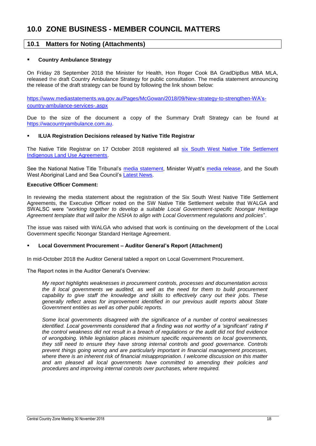### <span id="page-18-1"></span><span id="page-18-0"></span>**10.1 Matters for Noting (Attachments)**

### **Country Ambulance Strategy**

On Friday 28 September 2018 the Minister for Health, Hon Roger Cook BA GradDipBus MBA MLA, released the draft Country Ambulance Strategy for public consultation. The media statement announcing the release of the draft strategy can be found by following the link shown below:

[https://www.mediastatements.wa.gov.au/Pages/McGowan/2018/09/New-strategy-to-strengthen-WA's](https://www.mediastatements.wa.gov.au/Pages/McGowan/2018/09/New-strategy-to-strengthen-WA’s-country-ambulance-services-.aspx)[country-ambulance-services-.aspx](https://www.mediastatements.wa.gov.au/Pages/McGowan/2018/09/New-strategy-to-strengthen-WA’s-country-ambulance-services-.aspx)

Due to the size of the document a copy of the Summary Draft Strategy can be found at [https://wacountryambulance.com.au.](https://wacountryambulance.com.au/)

### **ILUA Registration Decisions released by Native Title Registrar**

The Native Title Registrar on 17 October 2018 registered all [six South West Native Title Settlement](https://www.dpc.wa.gov.au/swnts/Indigenous-Land-Use-Agreements/Pages/default.aspx)  [Indigenous Land Use Agreements.](https://www.dpc.wa.gov.au/swnts/Indigenous-Land-Use-Agreements/Pages/default.aspx)

See the National Native Title Tribunal's [media statement,](http://www.nntt.gov.au/News-and-Publications/latest-news/Pages/South-West-Indigenous-Land-Use-Agreements-Registered.aspx) Minister Wyatt's [media release,](https://www.mediastatements.wa.gov.au/Pages/McGowan/2018/10/All-six-South-West-Native-Title-Settlement-Agreements-registered.aspx) and the South West Aboriginal Land and Sea Council's [Latest News.](http://www.noongar.org.au/news-and-events/)

### **Executive Officer Comment:**

In reviewing the media statement about the registration of the Six South West Native Title Settlement Agreements, the Executive Officer noted on the SW Native Title Settlement website that WALGA and SWALSC were "*working together to develop a suitable Local Government-specific Noongar Heritage Agreement template that will tailor the NSHA to align with Local Government regulations and policies*".

The issue was raised with WALGA who advised that work is continuing on the development of the Local Government specific Noongar Standard Heritage Agreement.

### **Local Government Procurement – Auditor General's Report (Attachment)**

In mid-October 2018 the Auditor General tabled a report on Local Government Procurement.

The Report notes in the Auditor General's Overview:

*My report highlights weaknesses in procurement controls, processes and documentation across the 8 local governments we audited, as well as the need for them to build procurement capability to give staff the knowledge and skills to effectively carry out their jobs. These generally reflect areas for improvement identified in our previous audit reports about State Government entities as well as other public reports.* 

*Some local governments disagreed with the significance of a number of control weaknesses identified. Local governments considered that a finding was not worthy of a 'significant' rating if the control weakness did not result in a breach of regulations or the audit did not find evidence of wrongdoing. While legislation places minimum specific requirements on local governments, they still need to ensure they have strong internal controls and good governance. Controls prevent things going wrong and are particularly important in financial management processes, where there is an inherent risk of financial misappropriation. I welcome discussion on this matter and am pleased all local governments have committed to amending their policies and procedures and improving internal controls over purchases, where required.*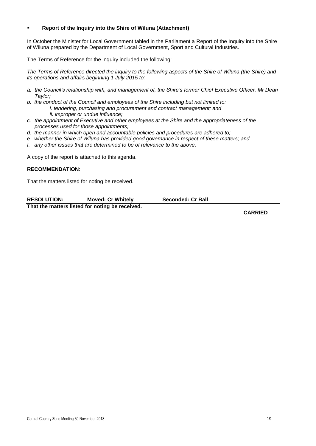### **Report of the Inquiry into the Shire of Wiluna (Attachment)**

In October the Minister for Local Government tabled in the Parliament a Report of the Inquiry into the Shire of Wiluna prepared by the Department of Local Government, Sport and Cultural Industries.

The Terms of Reference for the inquiry included the following:

*The Terms of Reference directed the inquiry to the following aspects of the Shire of Wiluna (the Shire) and its operations and affairs beginning 1 July 2015 to:* 

- *a. the Council's relationship with, and management of, the Shire's former Chief Executive Officer, Mr Dean Taylor;*
- *b. the conduct of the Council and employees of the Shire including but not limited to: i. tendering, purchasing and procurement and contract management; and ii. improper or undue influence;*
- *c. the appointment of Executive and other employees at the Shire and the appropriateness of the processes used for those appointments;*
- *d. the manner in which open and accountable policies and procedures are adhered to;*
- *e. whether the Shire of Wiluna has provided good governance in respect of these matters; and*
- *f. any other issues that are determined to be of relevance to the above.*

A copy of the report is attached to this agenda.

### **RECOMMENDATION:**

That the matters listed for noting be received.

| <b>RESOLUTION:</b>                              | <b>Moved: Cr Whitely</b> | Seconded: Cr Ball |
|-------------------------------------------------|--------------------------|-------------------|
| That the matters listed for noting be received. |                          |                   |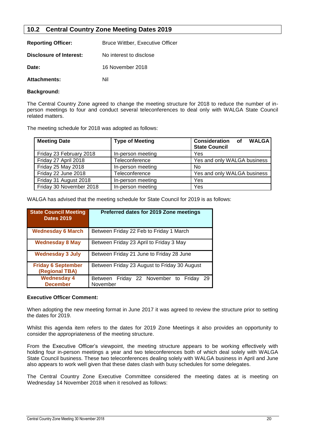### <span id="page-20-0"></span>**10.2 Central Country Zone Meeting Dates 2019**

| <b>Reporting Officer:</b> | <b>Bruce Wittber, Executive Officer</b> |
|---------------------------|-----------------------------------------|
| Disclosure of Interest:   | No interest to disclose                 |
| Date:                     | 16 November 2018                        |
| <b>Attachments:</b>       | Nil                                     |

### **Background:**

The Central Country Zone agreed to change the meeting structure for 2018 to reduce the number of inperson meetings to four and conduct several teleconferences to deal only with WALGA State Council related matters.

The meeting schedule for 2018 was adopted as follows:

| <b>Meeting Date</b>     | <b>Type of Meeting</b> | <b>Consideration</b> of<br><b>WALGA</b><br><b>State Council</b> |
|-------------------------|------------------------|-----------------------------------------------------------------|
| Friday 23 February 2018 | In-person meeting      | Yes                                                             |
| Friday 27 April 2018    | Teleconference         | Yes and only WALGA business                                     |
| Friday 25 May 2018      | In-person meeting      | No                                                              |
| Friday 22 June 2018     | Teleconference         | Yes and only WALGA business                                     |
| Friday 31 August 2018   | In-person meeting      | Yes                                                             |
| Friday 30 November 2018 | In-person meeting      | Yes                                                             |

WALGA has advised that the meeting schedule for State Council for 2019 is as follows:

| <b>State Council Meeting</b><br><b>Dates 2019</b> | Preferred dates for 2019 Zone meetings                            |  |  |
|---------------------------------------------------|-------------------------------------------------------------------|--|--|
| <b>Wednesday 6 March</b>                          | Between Friday 22 Feb to Friday 1 March                           |  |  |
| <b>Wednesday 8 May</b>                            | Between Friday 23 April to Friday 3 May                           |  |  |
| <b>Wednesday 3 July</b>                           | Between Friday 21 June to Friday 28 June                          |  |  |
| <b>Friday 6 September</b><br>(Regional TBA)       | Between Friday 23 August to Friday 30 August                      |  |  |
| <b>Wednesday 4</b><br><b>December</b>             | Friday 22 November to Friday<br><b>Between</b><br>-29<br>November |  |  |

### **Executive Officer Comment:**

When adopting the new meeting format in June 2017 it was agreed to review the structure prior to setting the dates for 2019.

Whilst this agenda item refers to the dates for 2019 Zone Meetings it also provides an opportunity to consider the appropriateness of the meeting structure.

From the Executive Officer's viewpoint, the meeting structure appears to be working effectively with holding four in-person meetings a year and two teleconferences both of which deal solely with WALGA State Council business. These two teleconferences dealing solely with WALGA business in April and June also appears to work well given that these dates clash with busy schedules for some delegates.

The Central Country Zone Executive Committee considered the meeting dates at is meeting on Wednesday 14 November 2018 when it resolved as follows: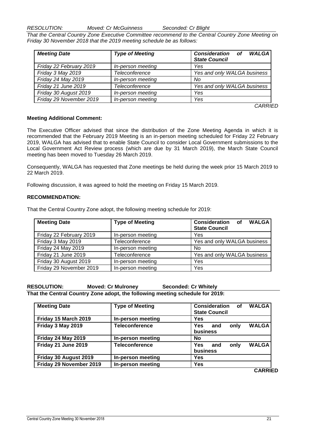*RESOLUTION: Moved: Cr McGuinness Seconded: Cr Blight*

*That the Central Country Zone Executive Committee recommend to the Central Country Zone Meeting on Friday 30 November 2018 that the 2019 meeting schedule be as follows:* 

| <b>Meeting Date</b>     | <b>Type of Meeting</b> | <b>Consideration</b> of<br><b>WALGA</b><br><b>State Council</b> |
|-------------------------|------------------------|-----------------------------------------------------------------|
| Friday 22 February 2019 | In-person meeting      | Yes                                                             |
| Friday 3 May 2019       | <b>Teleconference</b>  | Yes and only WALGA business                                     |
| Friday 24 May 2019      | In-person meeting      | No                                                              |
| Friday 21 June 2019     | Teleconference         | Yes and only WALGA business                                     |
| Friday 30 August 2019   | In-person meeting      | Yes                                                             |
| Friday 29 November 2019 | In-person meeting      | Yes                                                             |

*CARRIED*

### **Meeting Additional Comment:**

The Executive Officer advised that since the distribution of the Zone Meeting Agenda in which it is recommended that the February 2019 Meeting is an in-person meeting scheduled for Friday 22 February 2019, WALGA has advised that to enable State Council to consider Local Government submissions to the Local Government Act Review process (which are due by 31 March 2019), the March State Council meeting has been moved to Tuesday 26 March 2019.

Consequently, WALGA has requested that Zone meetings be held during the week prior 15 March 2019 to 22 March 2019.

Following discussion, it was agreed to hold the meeting on Friday 15 March 2019.

### **RECOMMENDATION:**

That the Central Country Zone adopt, the following meeting schedule for 2019:

| <b>Meeting Date</b>     | <b>Type of Meeting</b> | <b>Consideration</b> of<br><b>WALGA</b><br><b>State Council</b> |
|-------------------------|------------------------|-----------------------------------------------------------------|
| Friday 22 February 2019 | In-person meeting      | Yes                                                             |
| Friday 3 May 2019       | Teleconference         | Yes and only WALGA business                                     |
| Friday 24 May 2019      | In-person meeting      | No                                                              |
| Friday 21 June 2019     | Teleconference         | Yes and only WALGA business                                     |
| Friday 30 August 2019   | In-person meeting      | Yes                                                             |
| Friday 29 November 2019 | In-person meeting      | Yes                                                             |

**RESOLUTION: Moved: Cr Mulroney Seconded: Cr Whitely That the Central Country Zone adopt, the following meeting schedule for 2019:** 

| <b>Meeting Date</b>     | <b>Type of Meeting</b> | <b>Consideration</b><br><b>WALGA</b><br>of<br><b>State Council</b> |
|-------------------------|------------------------|--------------------------------------------------------------------|
| Friday 15 March 2019    | In-person meeting      | Yes                                                                |
| Friday 3 May 2019       | <b>Teleconference</b>  | <b>WALGA</b><br><b>Yes</b><br>only<br>and<br>business              |
| Friday 24 May 2019      | In-person meeting      | No                                                                 |
| Friday 21 June 2019     | <b>Teleconference</b>  | <b>WALGA</b><br><b>Yes</b><br>only<br>and<br>business              |
| Friday 30 August 2019   | In-person meeting      | Yes                                                                |
| Friday 29 November 2019 | In-person meeting      | <b>Yes</b><br>----                                                 |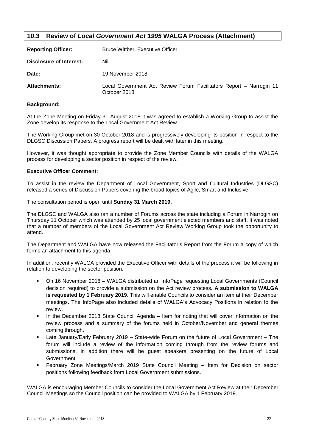### <span id="page-22-0"></span>**10.3 Review of** *Local Government Act 1995* **WALGA Process (Attachment)**

| <b>Reporting Officer:</b> | <b>Bruce Wittber, Executive Officer</b>                                             |  |  |
|---------------------------|-------------------------------------------------------------------------------------|--|--|
| Disclosure of Interest:   | Nil                                                                                 |  |  |
| Date:                     | 19 November 2018                                                                    |  |  |
| <b>Attachments:</b>       | Local Government Act Review Forum Facilitators Report – Narrogin 11<br>October 2018 |  |  |

### **Background:**

At the Zone Meeting on Friday 31 August 2018 it was agreed to establish a Working Group to assist the Zone develop its response to the Local Government Act Review.

The Working Group met on 30 October 2018 and is progressively developing its position in respect to the DLGSC Discussion Papers. A progress report will be dealt with later in this meeting.

However, it was thought appropriate to provide the Zone Member Councils with details of the WALGA process for developing a sector position in respect of the review.

### **Executive Officer Comment:**

To assist in the review the Department of Local Government, Sport and Cultural Industries (DLGSC) released a series of Discussion Papers covering the broad topics of Agile, Smart and Inclusive.

The consultation period is open until **Sunday 31 March 2019.**

The DLGSC and WALGA also ran a number of Forums across the state including a Forum in Narrogin on Thursday 11 October which was attended by 25 local government elected members and staff. It was noted that a number of members of the Local Government Act Review Working Group took the opportunity to attend.

The Department and WALGA have now released the Facilitator's Report from the Forum a copy of which forms an attachment to this agenda.

In addition, recently WALGA provided the Executive Officer with details of the process it will be following in relation to developing the sector position.

- On 16 November 2018 WALGA distributed an InfoPage requesting Local Governments (Council decision required) to provide a submission on the Act review process. **A submission to WALGA is requested by 1 February 2019**. This will enable Councils to consider an item at their December meetings. The InfoPage also included details of WALGA's Advocacy Positions in relation to the review.
- In the December 2018 State Council Agenda Item for noting that will cover information on the review process and a summary of the forums held in October/November and general themes coming through.
- Late January/Early February 2019 State-wide Forum on the future of Local Government The forum will include a review of the information coming through from the review forums and submissions, in addition there will be guest speakers presenting on the future of Local Government.
- February Zone Meetings/March 2019 State Council Meeting Item for Decision on sector positions following feedback from Local Government submissions.

WALGA is encouraging Member Councils to consider the Local Government Act Review at their December Council Meetings so the Council position can be provided to WALGA by 1 February 2019.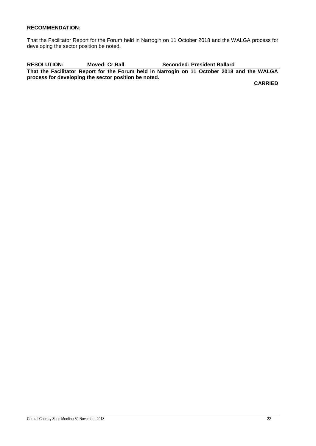### **RECOMMENDATION:**

That the Facilitator Report for the Forum held in Narrogin on 11 October 2018 and the WALGA process for developing the sector position be noted.

**RESOLUTION: Moved: Cr Ball Seconded: President Ballard That the Facilitator Report for the Forum held in Narrogin on 11 October 2018 and the WALGA process for developing the sector position be noted.**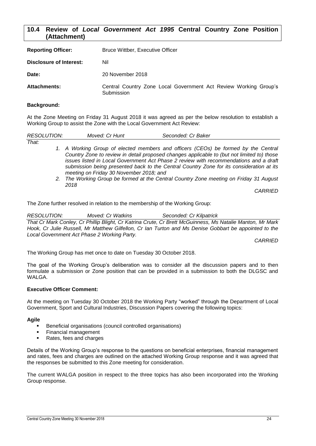### <span id="page-24-0"></span>**10.4 Review of** *Local Government Act 1995* **Central Country Zone Position (Attachment)**

| <b>Reporting Officer:</b> | <b>Bruce Wittber, Executive Officer</b>                                        |  |  |
|---------------------------|--------------------------------------------------------------------------------|--|--|
| Disclosure of Interest:   | Nil                                                                            |  |  |
| Date:                     | 20 November 2018                                                               |  |  |
| <b>Attachments:</b>       | Central Country Zone Local Government Act Review Working Group's<br>Submission |  |  |

### **Background:**

At the Zone Meeting on Friday 31 August 2018 it was agreed as per the below resolution to establish a Working Group to assist the Zone with the Local Government Act Review:

| <i>RESOLUTION:</i> | Moved: Cr Hunt                          | Seconded: Cr Baker                                                                         |
|--------------------|-----------------------------------------|--------------------------------------------------------------------------------------------|
| That:              |                                         |                                                                                            |
|                    |                                         | 1. A Working Group of elected members and officers (CEOs) be formed by the Central         |
|                    |                                         | Country Zone to review in detail proposed changes applicable to (but not limited to) those |
|                    |                                         | issues listed in Local Government Act Phase 2 review with recommendations and a draft      |
|                    |                                         | submission being presented back to the Central Country Zone for its consideration at its   |
|                    | meeting on Friday 30 November 2018; and |                                                                                            |

*2. The Working Group be formed at the Central Country Zone meeting on Friday 31 August 2018*

*CARRIED*

The Zone further resolved in relation to the membership of the Working Group:

*RESOLUTION: Moved: Cr Watkins Seconded: Cr Kilpatrick That Cr Mark Conley, Cr Phillip Blight, Cr Katrina Crute, Cr Brett McGuinness, Ms Natalie Manton, Mr Mark Hook, Cr Julie Russell, Mr Matthew Gilfellon, Cr Ian Turton and Ms Denise Gobbart be appointed to the Local Government Act Phase 2 Working Party.*

*CARRIED*

The Working Group has met once to date on Tuesday 30 October 2018.

The goal of the Working Group's deliberation was to consider all the discussion papers and to then formulate a submission or Zone position that can be provided in a submission to both the DLGSC and WAI GA

### **Executive Officer Comment:**

At the meeting on Tuesday 30 October 2018 the Working Party "worked" through the Department of Local Government, Sport and Cultural Industries, Discussion Papers covering the following topics:

### **Agile**

- Beneficial organisations (council controlled organisations)
- Financial management
- Rates, fees and charges

Details of the Working Group's response to the questions on beneficial enterprises, financial management and rates, fees and charges are outlined on the attached Working Group response and it was agreed that the responses be submitted to this Zone meeting for consideration.

The current WALGA position in respect to the three topics has also been incorporated into the Working Group response.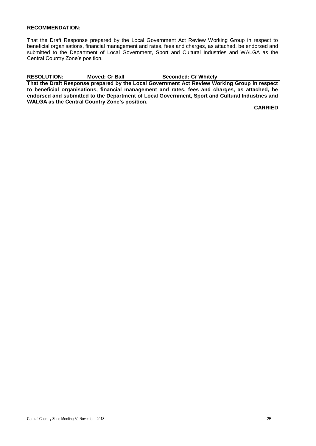### **RECOMMENDATION:**

That the Draft Response prepared by the Local Government Act Review Working Group in respect to beneficial organisations, financial management and rates, fees and charges, as attached, be endorsed and submitted to the Department of Local Government, Sport and Cultural Industries and WALGA as the Central Country Zone's position.

**RESOLUTION: Moved: Cr Ball Seconded: Cr Whitely**

**That the Draft Response prepared by the Local Government Act Review Working Group in respect to beneficial organisations, financial management and rates, fees and charges, as attached, be endorsed and submitted to the Department of Local Government, Sport and Cultural Industries and WALGA as the Central Country Zone's position.**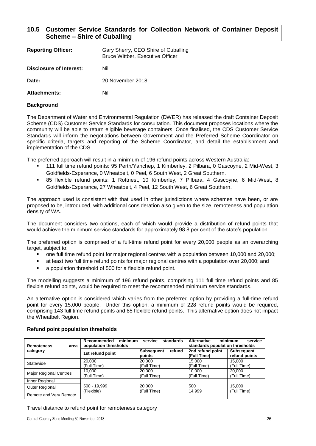### <span id="page-26-0"></span>**10.5 Customer Service Standards for Collection Network of Container Deposit Scheme – Shire of Cuballing**

| <b>Reporting Officer:</b> | Gary Sherry, CEO Shire of Cuballing<br>Bruce Wittber, Executive Officer |
|---------------------------|-------------------------------------------------------------------------|
| Disclosure of Interest:   | Nil                                                                     |
| Date:                     | 20 November 2018                                                        |
| <b>Attachments:</b>       | Nil                                                                     |

### **Background**

The Department of Water and Environmental Regulation (DWER) has released the draft Container Deposit Scheme (CDS) Customer Service Standards for consultation. This document proposes locations where the community will be able to return eligible beverage containers. Once finalised, the CDS Customer Service Standards will inform the negotiations between Government and the Preferred Scheme Coordinator on specific criteria, targets and reporting of the Scheme Coordinator, and detail the establishment and implementation of the CDS.

The preferred approach will result in a minimum of 196 refund points across Western Australia:

- 111 full time refund points: 95 Perth/Yanchep, 1 Kimberley, 2 Pilbara, 0 Gascoyne, 2 Mid-West, 3 Goldfields-Esperance, 0 Wheatbelt, 0 Peel, 6 South West, 2 Great Southern.
- 85 flexible refund points: 1 Rottnest, 10 Kimberley, 7 Pilbara, 4 Gascoyne, 6 Mid-West, 8 Goldfields-Esperance, 27 Wheatbelt, 4 Peel, 12 South West, 6 Great Southern.

The approach used is consistent with that used in other jurisdictions where schemes have been, or are proposed to be, introduced, with additional consideration also given to the size, remoteness and population density of WA.

The document considers two options, each of which would provide a distribution of refund points that would achieve the minimum service standards for approximately 98.8 per cent of the state's population.

The preferred option is comprised of a full-time refund point for every 20,000 people as an overarching target, subject to:

- one full time refund point for major regional centres with a population between 10,000 and 20,000;
- at least two full time refund points for major regional centres with a population over 20,000; and
- a population threshold of 500 for a flexible refund point.

The modelling suggests a minimum of 196 refund points, comprising 111 full time refund points and 85 flexible refund points, would be required to meet the recommended minimum service standards.

An alternative option is considered which varies from the preferred option by providing a full-time refund point for every 15,000 people. Under this option, a minimum of 228 refund points would be required, comprising 143 full time refund points and 85 flexible refund points. This alternative option does not impact the Wheatbelt Region.

| <b>Remoteness</b><br>area | minimum<br>Recommended<br>population thresholds | standards<br>service           | minimum<br>service<br><b>Alternative</b><br>standards population thresholds |                                    |
|---------------------------|-------------------------------------------------|--------------------------------|-----------------------------------------------------------------------------|------------------------------------|
| category                  | 1st refund point                                | refund<br>Subsequent<br>points | 2nd refund point<br>(Full Time)                                             | <b>Subsequent</b><br>refund points |
| Statewide                 | 20.000<br>(Full Time)                           | 20.000<br>(Full Time)          | 15.000<br>(Full Time)                                                       | 15.000<br>(Full Time)              |
| Major Regional Centres    | 10.000<br>(Full Time)                           | 20.000<br>(Full Time)          | 10.000<br>(Full Time)                                                       | 20,000<br>(Full Time)              |
| Inner Regional            |                                                 |                                |                                                                             |                                    |
| Outer Regional            | 500 - 19,999<br>(Flexible)                      | 20,000<br>(Full Time)          | 500<br>14.999                                                               | 15,000<br>(Full Time)              |
| Remote and Very Remote    |                                                 |                                |                                                                             |                                    |

### **Refund point population thresholds**

Travel distance to refund point for remoteness category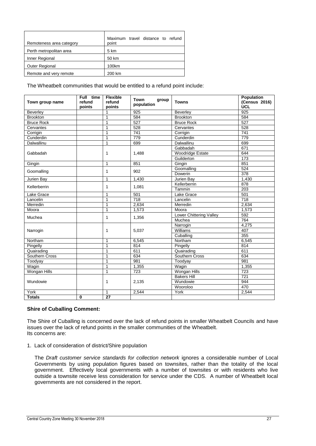| Remoteness area category | Maximum travel distance to refund<br>point |
|--------------------------|--------------------------------------------|
| Perth metropolitan area  | 5 km                                       |
| Inner Regional           | 50 km                                      |
| Outer Regional           | 100km                                      |
| Remote and very remote   | 200 km                                     |

The Wheatbelt communities that would be entitled to a refund point include:

| Town group name   | Full time<br>refund<br>points | <b>Flexible</b><br>refund<br>points | <b>Town</b><br>group<br>population | <b>Towns</b>            | <b>Population</b><br>(Census 2016)<br><b>UCL</b> |
|-------------------|-------------------------------|-------------------------------------|------------------------------------|-------------------------|--------------------------------------------------|
| Beverley          |                               | $\mathbf{1}$                        | 925                                | Beverley                | 925                                              |
| <b>Brookton</b>   |                               | 1                                   | 584                                | <b>Brookton</b>         | 584                                              |
| <b>Bruce Rock</b> |                               | 1                                   | 527                                | <b>Bruce Rock</b>       | 527                                              |
| Cervantes         |                               | 1                                   | 528                                | Cervantes               | 528                                              |
| Corrigin          |                               | 1                                   | 741                                | Corrigin                | 741                                              |
| Cunderdin         |                               | 1                                   | 779                                | Cunderdin               | $\overline{779}$                                 |
| Dalwallinu        |                               | 1                                   | 699                                | <b>Dalwallinu</b>       | 699                                              |
|                   |                               |                                     |                                    | Gabbadah                | 671                                              |
| Gabbadah          |                               | 1                                   | 1,488                              | <b>Woodridge Estate</b> | 644                                              |
|                   |                               |                                     |                                    | Guilderton              | 173                                              |
| Gingin            |                               | $\mathbf{1}$                        | 851                                | Gingin                  | 851                                              |
|                   |                               | 1                                   | 902                                | Goomalling              | 524                                              |
| Goomalling        |                               |                                     |                                    | Dowerin                 | $\overline{378}$                                 |
| Jurien Bay        |                               | 1                                   | 1,430                              | Jurien Bay              | 1,430                                            |
|                   |                               | 1                                   |                                    | Kellerberrin            | 878                                              |
| Kellerberrin      |                               |                                     | 1,081                              | Tammin                  | $\overline{203}$                                 |
| Lake Grace        |                               | 1                                   | 501                                | Lake Grace              | 501                                              |
| Lancelin          |                               | 1                                   | $\overline{718}$                   | Lancelin                | $\overline{718}$                                 |
| Merredin          |                               | 1                                   | $\overline{2,634}$                 | Merredin                | 2,634                                            |
| Moora             |                               | 1                                   | 1,573                              | Moora                   | 1,573                                            |
| Muchea            | 1                             |                                     | 1,356                              | Lower Chittering Valley | 592                                              |
|                   |                               |                                     |                                    | Muchea                  | 764                                              |
|                   |                               | $\mathbf{1}$                        | 5,037                              | Narrogin                | 4,275                                            |
| Narrogin          |                               |                                     |                                    | Williams                | 407                                              |
|                   |                               |                                     |                                    | Cuballing               | 355                                              |
| Northam           |                               | $\mathbf{1}$                        | 6.545                              | Northam                 | 6.545                                            |
| Pingelly          |                               | 1                                   | 814                                | Pingelly                | 814                                              |
| Quairading        |                               | 1                                   | 611                                | Quairading              | 611                                              |
| Southern Cross    |                               | 1                                   | 634                                | Southern Cross          | 634                                              |
| Toodyay           |                               | 1                                   | 981                                | Toodyay                 | 981                                              |
| Wagin             |                               | 1                                   | 1,355                              | Wagin                   | 1,355                                            |
| Wongan Hills      |                               | $\mathbf{1}$                        | 723                                | <b>Wongan Hills</b>     | $\overline{723}$                                 |
| Wundowie          |                               |                                     |                                    | <b>Bakers Hill</b>      | 721                                              |
|                   |                               | 1<br>2,135                          | Wundowie                           | 944                     |                                                  |
|                   |                               |                                     |                                    | Wooroloo                | 470                                              |
| York              |                               | $\mathbf{1}$                        | 2,544                              | York                    | 2,544                                            |
| <b>Totals</b>     | $\mathbf{0}$                  | $\overline{27}$                     |                                    |                         |                                                  |

### **Shire of Cuballing Comment:**

The Shire of Cuballing is concerned over the lack of refund points in smaller Wheatbelt Councils and have issues over the lack of refund points in the smaller communities of the Wheatbelt. Its concerns are:

1. Lack of consideration of district/Shire population

The *Draft customer service standards for collection network* ignores a considerable number of Local Governments by using population figures based on townsites, rather than the totality of the local government. Effectively local governments with a number of townsites or with residents who live outside a townsite receive less consideration for service under the CDS. A number of Wheatbelt local governments are not considered in the report.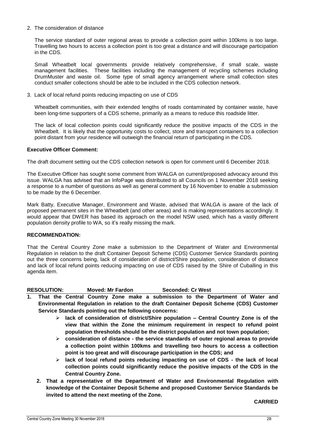### 2. The consideration of distance

The service standard of outer regional areas to provide a collection point within 100kms is too large. Travelling two hours to access a collection point is too great a distance and will discourage participation in the CDS.

Small Wheatbelt local governments provide relatively comprehensive, if small scale, waste management facilities. These facilities including the management of recycling schemes including DrumMuster and waste oil. Some type of small agency arrangement where small collection sites conduct smaller collections should be able to be included in the CDS collection network.

3. Lack of local refund points reducing impacting on use of CDS

Wheatbelt communities, with their extended lengths of roads contaminated by container waste, have been long-time supporters of a CDS scheme, primarily as a means to reduce this roadside litter.

The lack of local collection points could significantly reduce the positive impacts of the CDS in the Wheatbelt. It is likely that the opportunity costs to collect, store and transport containers to a collection point distant from your residence will outweigh the financial return of participating in the CDS.

### **Executive Officer Comment:**

The draft document setting out the CDS collection network is open for comment until 6 December 2018.

The Executive Officer has sought some comment from WALGA on current/proposed advocacy around this issue. WALGA has advised that an InfoPage was distributed to all Councils on 1 November 2018 seeking a response to a number of questions as well as general comment by 16 November to enable a submission to be made by the 6 December.

Mark Batty, Executive Manager, Environment and Waste, advised that WALGA is aware of the lack of proposed permanent sites in the Wheatbelt (and other areas) and is making representations accordingly. It would appear that DWER has based its approach on the model NSW used, which has a vastly different population density profile to WA, so it's really missing the mark.

### **RECOMMENDATION:**

That the Central Country Zone make a submission to the Department of Water and Environmental Regulation in relation to the draft Container Deposit Scheme (CDS) Customer Service Standards pointing out the three concerns being, lack of consideration of district/Shire population, consideration of distance and lack of local refund points reducing impacting on use of CDS raised by the Shire of Cuballing in this agenda item.

**RESOLUTION: Moved: Mr Fardon Seconded: Cr West**

- **1. That the Central Country Zone make a submission to the Department of Water and Environmental Regulation in relation to the draft Container Deposit Scheme (CDS) Customer Service Standards pointing out the following concerns:**
	- **lack of consideration of district/Shire population – Central Country Zone is of the view that within the Zone the minimum requirement in respect to refund point population thresholds should be the district population and not town population;**
	- **consideration of distance - the service standards of outer regional areas to provide a collection point within 100kms and travelling two hours to access a collection point is too great and will discourage participation in the CDS; and**
	- **lack of local refund points reducing impacting on use of CDS - the lack of local collection points could significantly reduce the positive impacts of the CDS in the Central Country Zone.**
	- **2. That a representative of the Department of Water and Environmental Regulation with knowledge of the Container Deposit Scheme and proposed Customer Service Standards be invited to attend the next meeting of the Zone.**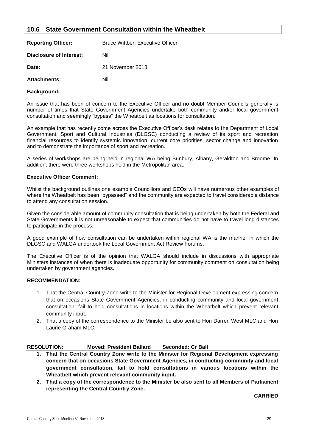### <span id="page-29-0"></span>**10.6 State Government Consultation within the Wheatbelt**

| <b>Reporting Officer:</b> | Bruce Wittber, Executive Officer |
|---------------------------|----------------------------------|
| Disclosure of Interest:   | Nil                              |
| Date:                     | 21 November 2018                 |
| <b>Attachments:</b>       | Nil                              |

### **Background:**

An issue that has been of concern to the Executive Officer and no doubt Member Councils generally is number of times that State Government Agencies undertake both community and/or local government consultation and seemingly "bypass" the Wheatbelt as locations for consultation.

An example that has recently come across the Executive Officer's desk relates to the Department of Local Government, Sport and Cultural Industries (DLGSC) conducting a review of its sport and recreation financial resources to identify systemic innovation, current core priorities, sector change and innovation and to demonstrate the importance of sport and recreation.

A series of workshops are being held in regional WA being Bunbury, Albany, Geraldton and Broome. In addition, there were three workshops held in the Metropolitan area.

### **Executive Officer Comment:**

Whilst the background outlines one example Councillors and CEOs will have numerous other examples of where the Wheatbelt has been "bypassed" and the community are expected to travel considerable distance to attend any consultation session.

Given the considerable amount of community consultation that is being undertaken by both the Federal and State Governments it is not unreasonable to expect that communities do not have to travel long distances to participate in the process.

A good example of how consultation can be undertaken within regional WA is the manner in which the DLGSC and WALGA undertook the Local Government Act Review Forums.

The Executive Officer is of the opinion that WALGA should include in discussions with appropriate Ministers instances of when there is inadequate opportunity for community comment on consultation being undertaken by government agencies.

### **RECOMMENDATION:**

- 1. That the Central Country Zone write to the Minister for Regional Development expressing concern that on occasions State Government Agencies, in conducting community and local government consultation, fail to hold consultations in locations within the Wheatbelt which prevent relevant community input.
- 2. That a copy of the correspondence to the Minister be also sent to Hon Darren West MLC and Hon Laurie Graham MLC.

### **RESOLUTION: Moved: President Ballard Seconded: Cr Ball**

- **1. That the Central Country Zone write to the Minister for Regional Development expressing concern that on occasions State Government Agencies, in conducting community and local government consultation, fail to hold consultations in various locations within the Wheatbelt which prevent relevant community input.**
- **2. That a copy of the correspondence to the Minister be also sent to all Members of Parliament representing the Central Country Zone.**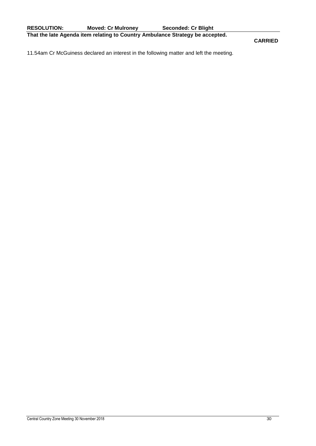**CARRIED**

11.54am Cr McGuiness declared an interest in the following matter and left the meeting.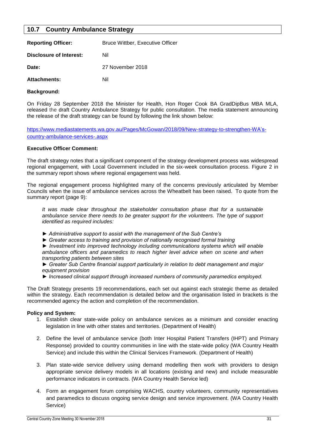### <span id="page-31-0"></span>**10.7 Country Ambulance Strategy**

| <b>Reporting Officer:</b> | <b>Bruce Wittber, Executive Officer</b> |
|---------------------------|-----------------------------------------|
| Disclosure of Interest:   | Nil                                     |
| Date:                     | 27 November 2018                        |
| <b>Attachments:</b>       | Nil                                     |

### **Background:**

On Friday 28 September 2018 the Minister for Health, Hon Roger Cook BA GradDipBus MBA MLA, released the draft Country Ambulance Strategy for public consultation. The media statement announcing the release of the draft strategy can be found by following the link shown below:

[https://www.mediastatements.wa.gov.au/Pages/McGowan/2018/09/New-strategy-to-strengthen-WA's](https://www.mediastatements.wa.gov.au/Pages/McGowan/2018/09/New-strategy-to-strengthen-WA’s-country-ambulance-services-.aspx)[country-ambulance-services-.aspx](https://www.mediastatements.wa.gov.au/Pages/McGowan/2018/09/New-strategy-to-strengthen-WA’s-country-ambulance-services-.aspx)

### **Executive Officer Comment:**

The draft strategy notes that a significant component of the strategy development process was widespread regional engagement, with Local Government included in the six-week consultation process. Figure 2 in the summary report shows where regional engagement was held.

The regional engagement process highlighted many of the concerns previously articulated by Member Councils when the issue of ambulance services across the Wheatbelt has been raised. To quote from the summary report (page 9):

*It was made clear throughout the stakeholder consultation phase that for a sustainable ambulance service there needs to be greater support for the volunteers. The type of support identified as required includes:*

- *► Administrative support to assist with the management of the Sub Centre's*
- *► Greater access to training and provision of nationally recognised formal training*

*► Investment into improved technology including communications systems which will enable ambulance officers and paramedics to reach higher level advice when on scene and when transporting patients between sites*

*► Greater Sub Centre financial support particularly in relation to debt management and major equipment provision*

*► Increased clinical support through increased numbers of community paramedics employed.*

The Draft Strategy presents 19 recommendations, each set out against each strategic theme as detailed within the strategy. Each recommendation is detailed below and the organisation listed in brackets is the recommended agency the action and completion of the recommendation.

### **Policy and System:**

- 1. Establish clear state-wide policy on ambulance services as a minimum and consider enacting legislation in line with other states and territories. (Department of Health)
- 2. Define the level of ambulance service (both Inter Hospital Patient Transfers (IHPT) and Primary Response) provided to country communities in line with the state-wide policy (WA Country Health Service) and include this within the Clinical Services Framework. (Department of Health)
- 3. Plan state-wide service delivery using demand modelling then work with providers to design appropriate service delivery models in all locations (existing and new) and include measurable performance indicators in contracts. (WA Country Health Service led)
- 4. Form an engagement forum comprising WACHS, country volunteers, community representatives and paramedics to discuss ongoing service design and service improvement. (WA Country Health Service)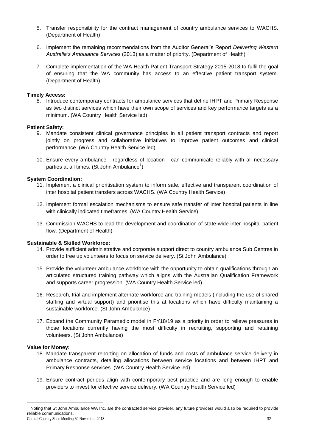- 5. Transfer responsibility for the contract management of country ambulance services to WACHS. (Department of Health)
- 6. Implement the remaining recommendations from the Auditor General's Report *Delivering Western Australia's Ambulance Services* (2013) as a matter of priority. (Department of Health)
- 7. Complete implementation of the WA Health Patient Transport Strategy 2015-2018 to fulfil the goal of ensuring that the WA community has access to an effective patient transport system. (Department of Health)

### **Timely Access:**

8. Introduce contemporary contracts for ambulance services that define IHPT and Primary Response as two distinct services which have their own scope of services and key performance targets as a minimum. (WA Country Health Service led)

### **Patient Safety:**

- 9. Mandate consistent clinical governance principles in all patient transport contracts and report jointly on progress and collaborative initiatives to improve patient outcomes and clinical performance. (WA Country Health Service led)
- 10. Ensure every ambulance regardless of location can communicate reliably with all necessary parties at all times. (St John Ambulance $^1$ )

### **System Coordination:**

- 11. Implement a clinical prioritisation system to inform safe, effective and transparent coordination of inter hospital patient transfers across WACHS. (WA Country Health Service)
- 12. Implement formal escalation mechanisms to ensure safe transfer of inter hospital patients in line with clinically indicated timeframes. (WA Country Health Service)
- 13. Commission WACHS to lead the development and coordination of state-wide inter hospital patient flow. (Department of Health)

### **Sustainable & Skilled Workforce:**

- 14. Provide sufficient administrative and corporate support direct to country ambulance Sub Centres in order to free up volunteers to focus on service delivery. (St John Ambulance)
- 15. Provide the volunteer ambulance workforce with the opportunity to obtain qualifications through an articulated structured training pathway which aligns with the Australian Qualification Framework and supports career progression. (WA Country Health Service led)
- 16. Research, trial and implement alternate workforce and training models (including the use of shared staffing and virtual support) and prioritise this at locations which have difficulty maintaining a sustainable workforce. (St John Ambulance)
- 17. Expand the Community Paramedic model in FY18/19 as a priority in order to relieve pressures in those locations currently having the most difficulty in recruiting, supporting and retaining volunteers. (St John Ambulance)

### **Value for Money:**

-

- 18. Mandate transparent reporting on allocation of funds and costs of ambulance service delivery in ambulance contracts, detailing allocations between service locations and between IHPT and Primary Response services. (WA Country Health Service led)
- 19. Ensure contract periods align with contemporary best practice and are long enough to enable providers to invest for effective service delivery. (WA Country Health Service led)

Central Country Zone Meeting 30 November 2018 32 1 Noting that St John Ambulance WA Inc. are the contracted service provider, any future providers would also be required to provide reliable communications.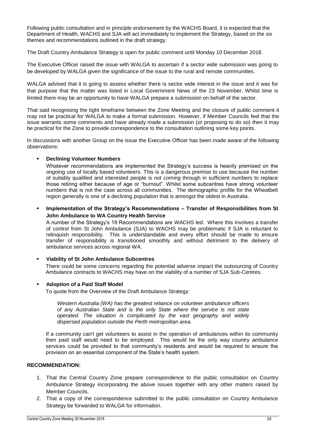Following public consultation and in principle endorsement by the WACHS Board, it is expected that the Department of Health, WACHS and SJA will act immediately to implement the Strategy, based on the six themes and recommendations outlined in the draft strategy.

The Draft Country Ambulance Strategy is open for public comment until Monday 10 December 2018.

The Executive Officer raised the issue with WALGA to ascertain if a sector wide submission was going to be developed by WALGA given the significance of the issue to the rural and remote communities.

WALGA advised that it is going to assess whether there is sector wide interest in the issue and it was for that purpose that the matter was listed in Local Government News of the 23 November. Whilst time is limited there may be an opportunity to have WALGA prepare a submission on behalf of the sector.

That said recognising the tight timeframe between the Zone Meeting and the closure of public comment it may not be practical for WALGA to make a formal submission. However, if Member Councils feel that the issue warrants some comments and have already made a submission (or proposing to do so) then it may be practical for the Zone to provide correspondence to the consultation outlining some key points.

In discussions with another Group on the issue the Executive Officer has been made aware of the following observations:

### **Declining Volunteer Numbers**

Whatever recommendations are implemented the Strategy's success is heavily premised on the ongoing use of locally based volunteers. This is a dangerous premise to use because the number of suitably qualified and interested people is not coming through in sufficient numbers to replace those retiring either because of age or "burnout". Whilst some subcentres have strong volunteer numbers that is not the case across all communities. The demographic profile for the Wheatbelt region generally is one of a declining population that is amongst the oldest in Australia.

 **Implementation of the Strategy's Recommendations – Transfer of Responsibilities from St John Ambulance to WA Country Health Service**

A number of the Strategy's 19 Recommendations are WACHS led. Where this involves a transfer of control from St John Ambulance (SJA) to WACHS may be problematic if SJA is reluctant to relinquish responsibility. This is understandable and every effort should be made to ensure transfer of responsibility is transitioned smoothly and without detriment to the delivery of ambulance services across regional WA.

### **Viability of St John Ambulance Subcentres**

There could be some concerns regarding the potential adverse impact the outsourcing of Country Ambulance contracts to WACHS may have on the viability of a number of SJA Sub-Centres.

### **Adoption of a Paid Staff Model**

To quote from the Overview of the Draft Ambulance Strategy:

*Western Australia (WA) has the greatest reliance on volunteer ambulance officers of any Australian State and is the only State where the service is not state operated. The situation is complicated by the vast geography and widely dispersed population outside the Perth metropolitan area.*

If a community can't get volunteers to assist in the operation of ambulances within its community then paid staff would need to be employed. This would be the only way country ambulance services could be provided to that community's residents and would be required to ensure the provision on an essential component of the State's health system.

### **RECOMMENDATION:**

- 1. That the Central Country Zone prepare correspondence to the public consultation on Country Ambulance Strategy incorporating the above issues together with any other matters raised by Member Councils.
- 2. That a copy of the correspondence submitted to the public consultation on Country Ambulance Strategy be forwarded to WALGA for information.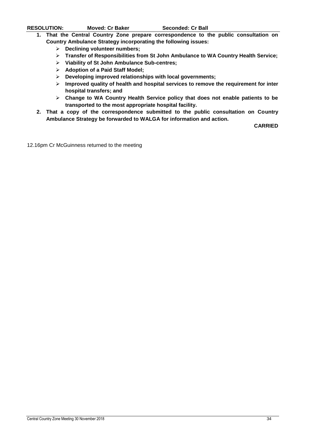- **1. That the Central Country Zone prepare correspondence to the public consultation on Country Ambulance Strategy incorporating the following issues:**
	- **Declining volunteer numbers;**
	- **Transfer of Responsibilities from St John Ambulance to WA Country Health Service;**
	- **Viability of St John Ambulance Sub-centres;**
	- **Adoption of a Paid Staff Model;**
	- **Developing improved relationships with local governments;**
	- **Improved quality of health and hospital services to remove the requirement for inter hospital transfers; and**
	- **Change to WA Country Health Service policy that does not enable patients to be transported to the most appropriate hospital facility.**
- **2. That a copy of the correspondence submitted to the public consultation on Country Ambulance Strategy be forwarded to WALGA for information and action.**

**CARRIED**

12.16pm Cr McGuinness returned to the meeting